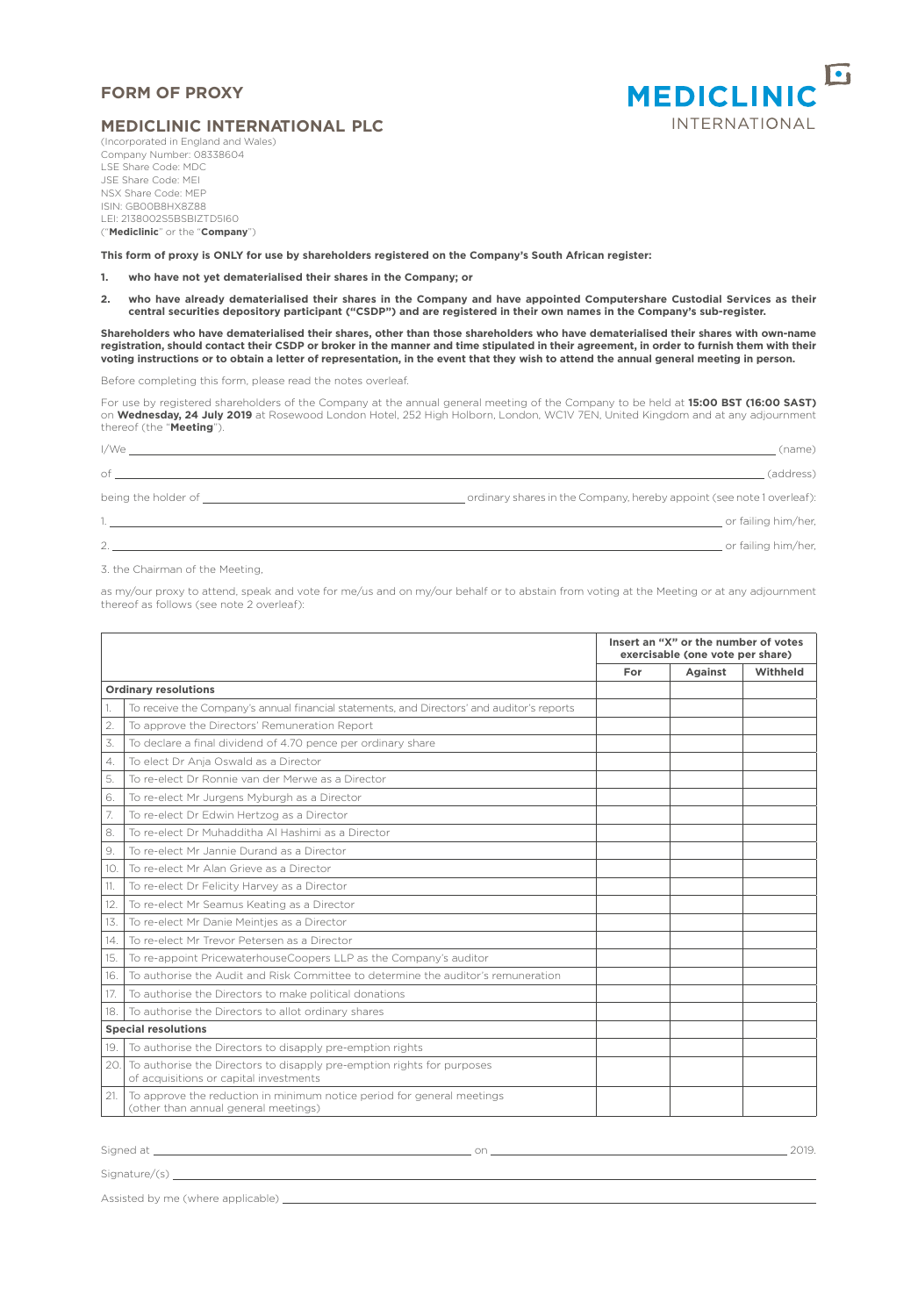## **FORM OF PROXY**



## **MEDICLINIC INTERNATIONAL PLC**

(Incorporated in England and Wales) Company Number: 08338604 LSE Share Code: MDC JSE Share Code: MEI NSX Share Code: MEP ISIN: GB00B8HX8Z88 LEI: 2138002S5BSBIZTD5I60 ("**Mediclinic**" or the "**Company**")

**This form of proxy is ONLY for use by shareholders registered on the Company's South African register:**

**1. who have not yet dematerialised their shares in the Company; or** 

**2. who have already dematerialised their shares in the Company and have appointed Computershare Custodial Services as their central securities depository participant ("CSDP") and are registered in their own names in the Company's sub-register.**

**Shareholders who have dematerialised their shares, other than those shareholders who have dematerialised their shares with own-name registration, should contact their CSDP or broker in the manner and time stipulated in their agreement, in order to furnish them with their voting instructions or to obtain a letter of representation, in the event that they wish to attend the annual general meeting in person.**

Before completing this form, please read the notes overleaf.

For use by registered shareholders of the Company at the annual general meeting of the Company to be held at **15:00 BST (16:00 SAST)** on **Wednesday, 24 July 2019** at Rosewood London Hotel, 252 High Holborn, London, WC1V 7EN, United Kingdom and at any adjournment thereof (the "**Meeting**").

| I/We                                                                                                                                                                                                                                 | (name)                                                                 |
|--------------------------------------------------------------------------------------------------------------------------------------------------------------------------------------------------------------------------------------|------------------------------------------------------------------------|
| of                                                                                                                                                                                                                                   | (address)                                                              |
| being the holder of the contract of the contract of the contract of the contract of the contract of the contract of the contract of the contract of the contract of the contract of the contract of the contract of the contra       | _ordinary shares in the Company, hereby appoint (see note 1 overleaf): |
| 1. <b>In the contract of the contract of the contract of the contract of the contract of the contract of the contract of the contract of the contract of the contract of the contract of the contract of the contract of the con</b> | or failing him/her,                                                    |
| 2.                                                                                                                                                                                                                                   | or failing him/her,                                                    |

3. the Chairman of the Meeting,

as my/our proxy to attend, speak and vote for me/us and on my/our behalf or to abstain from voting at the Meeting or at any adjournment thereof as follows (see note 2 overleaf):

|                             |                                                                                                                  |     | Insert an "X" or the number of votes<br>exercisable (one vote per share) |          |  |
|-----------------------------|------------------------------------------------------------------------------------------------------------------|-----|--------------------------------------------------------------------------|----------|--|
|                             |                                                                                                                  | For | Against                                                                  | Withheld |  |
| <b>Ordinary resolutions</b> |                                                                                                                  |     |                                                                          |          |  |
|                             | To receive the Company's annual financial statements, and Directors' and auditor's reports                       |     |                                                                          |          |  |
| 2.                          | To approve the Directors' Remuneration Report                                                                    |     |                                                                          |          |  |
| 3.                          | To declare a final dividend of 4.70 pence per ordinary share                                                     |     |                                                                          |          |  |
| 4.                          | To elect Dr Anja Oswald as a Director                                                                            |     |                                                                          |          |  |
| 5.                          | To re-elect Dr Ronnie van der Merwe as a Director                                                                |     |                                                                          |          |  |
| 6.                          | To re-elect Mr Jurgens Myburgh as a Director                                                                     |     |                                                                          |          |  |
| 7.                          | To re-elect Dr Edwin Hertzog as a Director                                                                       |     |                                                                          |          |  |
| 8.                          | To re-elect Dr Muhadditha Al Hashimi as a Director                                                               |     |                                                                          |          |  |
| 9.                          | To re-elect Mr Jannie Durand as a Director                                                                       |     |                                                                          |          |  |
| 10.                         | To re-elect Mr Alan Grieve as a Director                                                                         |     |                                                                          |          |  |
| 11.                         | To re-elect Dr Felicity Harvey as a Director                                                                     |     |                                                                          |          |  |
| 12.                         | To re-elect Mr Seamus Keating as a Director                                                                      |     |                                                                          |          |  |
| 13.                         | To re-elect Mr Danie Meinties as a Director                                                                      |     |                                                                          |          |  |
| 14.                         | To re-elect Mr Trevor Petersen as a Director                                                                     |     |                                                                          |          |  |
| 15.                         | To re-appoint PricewaterhouseCoopers LLP as the Company's auditor                                                |     |                                                                          |          |  |
| 16.                         | To authorise the Audit and Risk Committee to determine the auditor's remuneration                                |     |                                                                          |          |  |
| 17.                         | To authorise the Directors to make political donations                                                           |     |                                                                          |          |  |
| 18.                         | To authorise the Directors to allot ordinary shares                                                              |     |                                                                          |          |  |
| <b>Special resolutions</b>  |                                                                                                                  |     |                                                                          |          |  |
| 19.                         | To authorise the Directors to disapply pre-emption rights                                                        |     |                                                                          |          |  |
| 20.                         | To authorise the Directors to disapply pre-emption rights for purposes<br>of acquisitions or capital investments |     |                                                                          |          |  |
| 21.                         | To approve the reduction in minimum notice period for general meetings<br>(other than annual general meetings)   |     |                                                                          |          |  |

example at <u>the contract of the contract of the contract of the contract of the contract of the contract of the contract of the contract of the contract of the contract of the contract of the contract of the contract of th</u>

Signature/(s) \_

Assisted by me (where applicable)